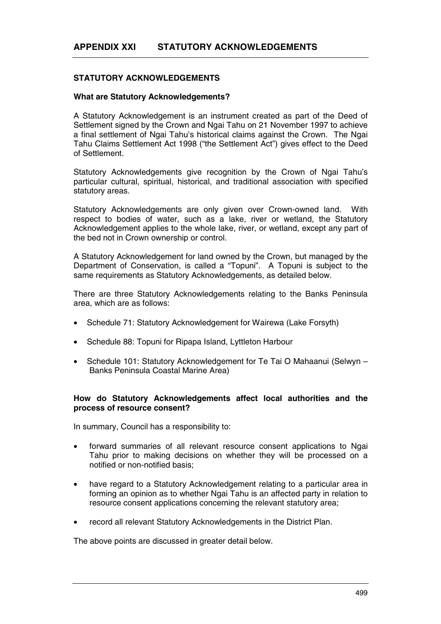# **STATUTORY ACKNOWLEDGEMENTS**

### **What are Statutory Acknowledgements?**

A Statutory Acknowledgement is an instrument created as part of the Deed of Settlement signed by the Crown and Ngai Tahu on 21 November 1997 to achieve a final settlement of Ngai Tahu's historical claims against the Crown. The Ngai Tahu Claims Settlement Act 1998 ("the Settlement Act") gives effect to the Deed of Settlement.

Statutory Acknowledgements give recognition by the Crown of Ngai Tahu's particular cultural, spiritual, historical, and traditional association with specified statutory areas.

Statutory Acknowledgements are only given over Crown-owned land. With respect to bodies of water, such as a lake, river or wetland, the Statutory Acknowledgement applies to the whole lake, river, or wetland, except any part of the bed not in Crown ownership or control.

A Statutory Acknowledgement for land owned by the Crown, but managed by the Department of Conservation, is called a "Topuni". A Topuni is subject to the same requirements as Statutory Acknowledgements, as detailed below.

There are three Statutory Acknowledgements relating to the Banks Peninsula area, which are as follows:

- Schedule 71: Statutory Acknowledgement for Wairewa (Lake Forsyth)
- Schedule 88: Topuni for Ripapa Island, Lyttleton Harbour
- Schedule 101: Statutory Acknowledgement for Te Tai O Mahaanui (Selwyn Banks Peninsula Coastal Marine Area)

## **How do Statutory Acknowledgements affect local authorities and the process of resource consent?**

In summary, Council has a responsibility to:

- forward summaries of all relevant resource consent applications to Ngai Tahu prior to making decisions on whether they will be processed on a notified or non-notified basis;
- have regard to a Statutory Acknowledgement relating to a particular area in forming an opinion as to whether Ngai Tahu is an affected party in relation to resource consent applications concerning the relevant statutory area;
- record all relevant Statutory Acknowledgements in the District Plan.

The above points are discussed in greater detail below.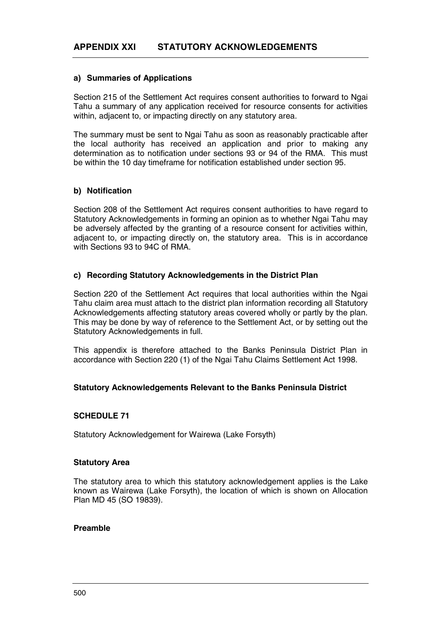### **a) Summaries of Applications**

Section 215 of the Settlement Act requires consent authorities to forward to Ngai Tahu a summary of any application received for resource consents for activities within, adjacent to, or impacting directly on any statutory area.

The summary must be sent to Ngai Tahu as soon as reasonably practicable after the local authority has received an application and prior to making any determination as to notification under sections 93 or 94 of the RMA. This must be within the 10 day timeframe for notification established under section 95.

## **b) Notification**

Section 208 of the Settlement Act requires consent authorities to have regard to Statutory Acknowledgements in forming an opinion as to whether Ngai Tahu may be adversely affected by the granting of a resource consent for activities within, adjacent to, or impacting directly on, the statutory area. This is in accordance with Sections 93 to 94C of RMA.

# **c) Recording Statutory Acknowledgements in the District Plan**

Section 220 of the Settlement Act requires that local authorities within the Ngai Tahu claim area must attach to the district plan information recording all Statutory Acknowledgements affecting statutory areas covered wholly or partly by the plan. This may be done by way of reference to the Settlement Act, or by setting out the Statutory Acknowledgements in full.

This appendix is therefore attached to the Banks Peninsula District Plan in accordance with Section 220 (1) of the Ngai Tahu Claims Settlement Act 1998.

# **Statutory Acknowledgements Relevant to the Banks Peninsula District**

# **SCHEDULE 71**

Statutory Acknowledgement for Wairewa (Lake Forsyth)

### **Statutory Area**

The statutory area to which this statutory acknowledgement applies is the Lake known as Wairewa (Lake Forsyth), the location of which is shown on Allocation Plan MD 45 (SO 19839).

### **Preamble**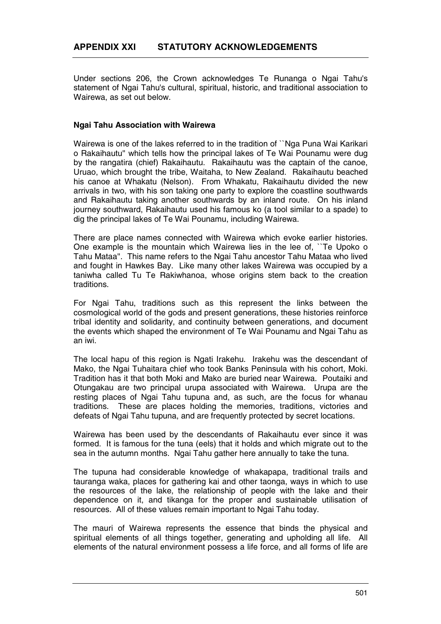Under sections 206, the Crown acknowledges Te Runanga o Ngai Tahu's statement of Ngai Tahu's cultural, spiritual, historic, and traditional association to Wairewa, as set out below.

## **Ngai Tahu Association with Wairewa**

Wairewa is one of the lakes referred to in the tradition of ``Nga Puna Wai Karikari o Rakaihautu'' which tells how the principal lakes of Te Wai Pounamu were dug by the rangatira (chief) Rakaihautu. Rakaihautu was the captain of the canoe, Uruao, which brought the tribe, Waitaha, to New Zealand. Rakaihautu beached his canoe at Whakatu (Nelson). From Whakatu, Rakaihautu divided the new arrivals in two, with his son taking one party to explore the coastline southwards and Rakaihautu taking another southwards by an inland route. On his inland journey southward, Rakaihautu used his famous ko (a tool similar to a spade) to dig the principal lakes of Te Wai Pounamu, including Wairewa.

There are place names connected with Wairewa which evoke earlier histories. One example is the mountain which Wairewa lies in the lee of, ``Te Upoko o Tahu Mataa''. This name refers to the Ngai Tahu ancestor Tahu Mataa who lived and fought in Hawkes Bay. Like many other lakes Wairewa was occupied by a taniwha called Tu Te Rakiwhanoa, whose origins stem back to the creation traditions.

For Ngai Tahu, traditions such as this represent the links between the cosmological world of the gods and present generations, these histories reinforce tribal identity and solidarity, and continuity between generations, and document the events which shaped the environment of Te Wai Pounamu and Ngai Tahu as an iwi.

The local hapu of this region is Ngati Irakehu. Irakehu was the descendant of Mako, the Ngai Tuhaitara chief who took Banks Peninsula with his cohort, Moki. Tradition has it that both Moki and Mako are buried near Wairewa. Poutaiki and Otungakau are two principal urupa associated with Wairewa. Urupa are the resting places of Ngai Tahu tupuna and, as such, are the focus for whanau traditions. These are places holding the memories, traditions, victories and defeats of Ngai Tahu tupuna, and are frequently protected by secret locations.

Wairewa has been used by the descendants of Rakaihautu ever since it was formed. It is famous for the tuna (eels) that it holds and which migrate out to the sea in the autumn months. Ngai Tahu gather here annually to take the tuna.

The tupuna had considerable knowledge of whakapapa, traditional trails and tauranga waka, places for gathering kai and other taonga, ways in which to use the resources of the lake, the relationship of people with the lake and their dependence on it, and tikanga for the proper and sustainable utilisation of resources. All of these values remain important to Ngai Tahu today.

The mauri of Wairewa represents the essence that binds the physical and spiritual elements of all things together, generating and upholding all life. All elements of the natural environment possess a life force, and all forms of life are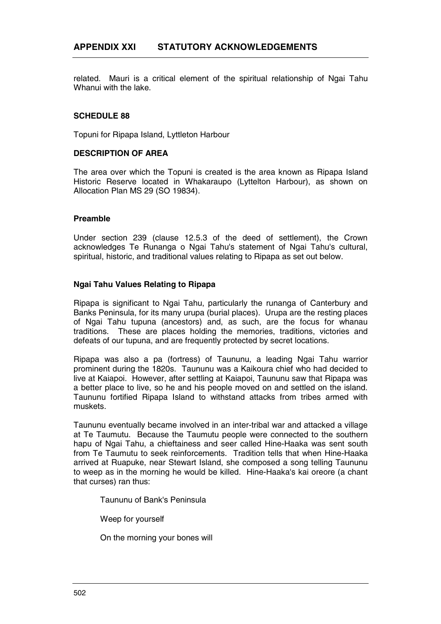related. Mauri is a critical element of the spiritual relationship of Ngai Tahu Whanui with the lake.

## **SCHEDULE 88**

Topuni for Ripapa Island, Lyttleton Harbour

### **DESCRIPTION OF AREA**

The area over which the Topuni is created is the area known as Ripapa Island Historic Reserve located in Whakaraupo (Lyttelton Harbour), as shown on Allocation Plan MS 29 (SO 19834).

### **Preamble**

Under section 239 (clause 12.5.3 of the deed of settlement), the Crown acknowledges Te Runanga o Ngai Tahu's statement of Ngai Tahu's cultural, spiritual, historic, and traditional values relating to Ripapa as set out below.

### **Ngai Tahu Values Relating to Ripapa**

Ripapa is significant to Ngai Tahu, particularly the runanga of Canterbury and Banks Peninsula, for its many urupa (burial places). Urupa are the resting places of Ngai Tahu tupuna (ancestors) and, as such, are the focus for whanau traditions. These are places holding the memories, traditions, victories and defeats of our tupuna, and are frequently protected by secret locations.

Ripapa was also a pa (fortress) of Taununu, a leading Ngai Tahu warrior prominent during the 1820s. Taununu was a Kaikoura chief who had decided to live at Kaiapoi. However, after settling at Kaiapoi, Taununu saw that Ripapa was a better place to live, so he and his people moved on and settled on the island. Taununu fortified Ripapa Island to withstand attacks from tribes armed with muskets.

Taununu eventually became involved in an inter-tribal war and attacked a village at Te Taumutu. Because the Taumutu people were connected to the southern hapu of Ngai Tahu, a chieftainess and seer called Hine-Haaka was sent south from Te Taumutu to seek reinforcements. Tradition tells that when Hine-Haaka arrived at Ruapuke, near Stewart Island, she composed a song telling Taununu to weep as in the morning he would be killed. Hine-Haaka's kai oreore (a chant that curses) ran thus:

Taununu of Bank's Peninsula

Weep for yourself

On the morning your bones will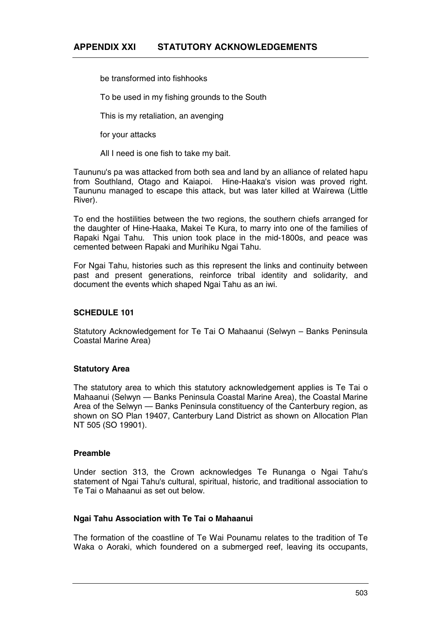be transformed into fishhooks

To be used in my fishing grounds to the South

This is my retaliation, an avenging

for your attacks

All I need is one fish to take my bait.

Taununu's pa was attacked from both sea and land by an alliance of related hapu from Southland, Otago and Kaiapoi. Hine-Haaka's vision was proved right. Taununu managed to escape this attack, but was later killed at Wairewa (Little River).

To end the hostilities between the two regions, the southern chiefs arranged for the daughter of Hine-Haaka, Makei Te Kura, to marry into one of the families of Rapaki Ngai Tahu. This union took place in the mid-1800s, and peace was cemented between Rapaki and Murihiku Ngai Tahu.

For Ngai Tahu, histories such as this represent the links and continuity between past and present generations, reinforce tribal identity and solidarity, and document the events which shaped Ngai Tahu as an iwi.

# **SCHEDULE 101**

Statutory Acknowledgement for Te Tai O Mahaanui (Selwyn – Banks Peninsula Coastal Marine Area)

# **Statutory Area**

The statutory area to which this statutory acknowledgement applies is Te Tai o Mahaanui (Selwyn — Banks Peninsula Coastal Marine Area), the Coastal Marine Area of the Selwyn — Banks Peninsula constituency of the Canterbury region, as shown on SO Plan 19407, Canterbury Land District as shown on Allocation Plan NT 505 (SO 19901).

## **Preamble**

Under section 313, the Crown acknowledges Te Runanga o Ngai Tahu's statement of Ngai Tahu's cultural, spiritual, historic, and traditional association to Te Tai o Mahaanui as set out below.

### **Ngai Tahu Association with Te Tai o Mahaanui**

The formation of the coastline of Te Wai Pounamu relates to the tradition of Te Waka o Aoraki, which foundered on a submerged reef, leaving its occupants,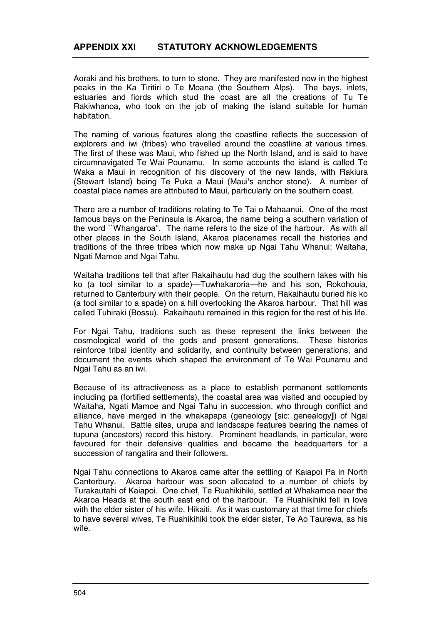Aoraki and his brothers, to turn to stone. They are manifested now in the highest peaks in the Ka Tiritiri o Te Moana (the Southern Alps). The bays, inlets, estuaries and fiords which stud the coast are all the creations of Tu Te Rakiwhanoa, who took on the job of making the island suitable for human habitation.

The naming of various features along the coastline reflects the succession of explorers and iwi (tribes) who travelled around the coastline at various times. The first of these was Maui, who fished up the North Island, and is said to have circumnavigated Te Wai Pounamu. In some accounts the island is called Te Waka a Maui in recognition of his discovery of the new lands, with Rakiura (Stewart Island) being Te Puka a Maui (Maui's anchor stone). A number of coastal place names are attributed to Maui, particularly on the southern coast.

There are a number of traditions relating to Te Tai o Mahaanui. One of the most famous bays on the Peninsula is Akaroa, the name being a southern variation of the word ``Whangaroa''. The name refers to the size of the harbour. As with all other places in the South Island, Akaroa placenames recall the histories and traditions of the three tribes which now make up Ngai Tahu Whanui: Waitaha, Ngati Mamoe and Ngai Tahu.

Waitaha traditions tell that after Rakaihautu had dug the southern lakes with his ko (a tool similar to a spade)—Tuwhakaroria—he and his son, Rokohouia, returned to Canterbury with their people. On the return, Rakaihautu buried his ko (a tool similar to a spade) on a hill overlooking the Akaroa harbour. That hill was called Tuhiraki (Bossu). Rakaihautu remained in this region for the rest of his life.

For Ngai Tahu, traditions such as these represent the links between the cosmological world of the gods and present generations. These histories reinforce tribal identity and solidarity, and continuity between generations, and document the events which shaped the environment of Te Wai Pounamu and Ngai Tahu as an iwi.

Because of its attractiveness as a place to establish permanent settlements including pa (fortified settlements), the coastal area was visited and occupied by Waitaha, Ngati Mamoe and Ngai Tahu in succession, who through conflict and alliance, have merged in the whakapapa (geneology **[**sic: genealogy**]**) of Ngai Tahu Whanui. Battle sites, urupa and landscape features bearing the names of tupuna (ancestors) record this history. Prominent headlands, in particular, were favoured for their defensive qualities and became the headquarters for a succession of rangatira and their followers.

Ngai Tahu connections to Akaroa came after the settling of Kaiapoi Pa in North Canterbury. Akaroa harbour was soon allocated to a number of chiefs by Turakautahi of Kaiapoi. One chief, Te Ruahikihiki, settled at Whakamoa near the Akaroa Heads at the south east end of the harbour. Te Ruahikihiki fell in love with the elder sister of his wife, Hikaiti. As it was customary at that time for chiefs to have several wives, Te Ruahikihiki took the elder sister, Te Ao Taurewa, as his wife.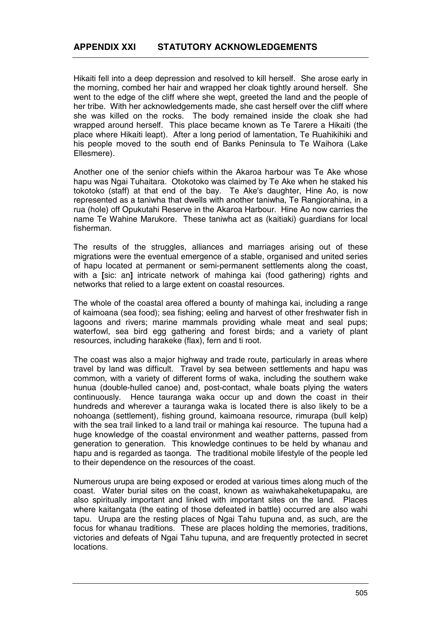Hikaiti fell into a deep depression and resolved to kill herself. She arose early in the morning, combed her hair and wrapped her cloak tightly around herself. She went to the edge of the cliff where she wept, greeted the land and the people of her tribe. With her acknowledgements made, she cast herself over the cliff where she was killed on the rocks. The body remained inside the cloak she had wrapped around herself. This place became known as Te Tarere a Hikaiti (the place where Hikaiti leapt). After a long period of lamentation, Te Ruahikihiki and his people moved to the south end of Banks Peninsula to Te Waihora (Lake Ellesmere).

Another one of the senior chiefs within the Akaroa harbour was Te Ake whose hapu was Ngai Tuhaitara. Otokotoko was claimed by Te Ake when he staked his tokotoko (staff) at that end of the bay. Te Ake's daughter, Hine Ao, is now represented as a taniwha that dwells with another taniwha, Te Rangiorahina, in a rua (hole) off Opukutahi Reserve in the Akaroa Harbour. Hine Ao now carries the name Te Wahine Marukore. These taniwha act as (kaitiaki) guardians for local fisherman.

The results of the struggles, alliances and marriages arising out of these migrations were the eventual emergence of a stable, organised and united series of hapu located at permanent or semi-permanent settlements along the coast, with a **[**sic: an**]** intricate network of mahinga kai (food gathering) rights and networks that relied to a large extent on coastal resources.

The whole of the coastal area offered a bounty of mahinga kai, including a range of kaimoana (sea food); sea fishing; eeling and harvest of other freshwater fish in lagoons and rivers; marine mammals providing whale meat and seal pups; waterfowl, sea bird egg gathering and forest birds; and a variety of plant resources, including harakeke (flax), fern and ti root.

The coast was also a major highway and trade route, particularly in areas where travel by land was difficult. Travel by sea between settlements and hapu was common, with a variety of different forms of waka, including the southern wake hunua (double-hulled canoe) and, post-contact, whale boats plying the waters continuously. Hence tauranga waka occur up and down the coast in their hundreds and wherever a tauranga waka is located there is also likely to be a nohoanga (settlement), fishing ground, kaimoana resource, rimurapa (bull kelp) with the sea trail linked to a land trail or mahinga kai resource. The tupuna had a huge knowledge of the coastal environment and weather patterns, passed from generation to generation. This knowledge continues to be held by whanau and hapu and is regarded as taonga. The traditional mobile lifestyle of the people led to their dependence on the resources of the coast.

Numerous urupa are being exposed or eroded at various times along much of the coast. Water burial sites on the coast, known as waiwhakaheketupapaku, are also spiritually important and linked with important sites on the land. Places where kaitangata (the eating of those defeated in battle) occurred are also wahi tapu. Urupa are the resting places of Ngai Tahu tupuna and, as such, are the focus for whanau traditions. These are places holding the memories, traditions, victories and defeats of Ngai Tahu tupuna, and are frequently protected in secret locations.